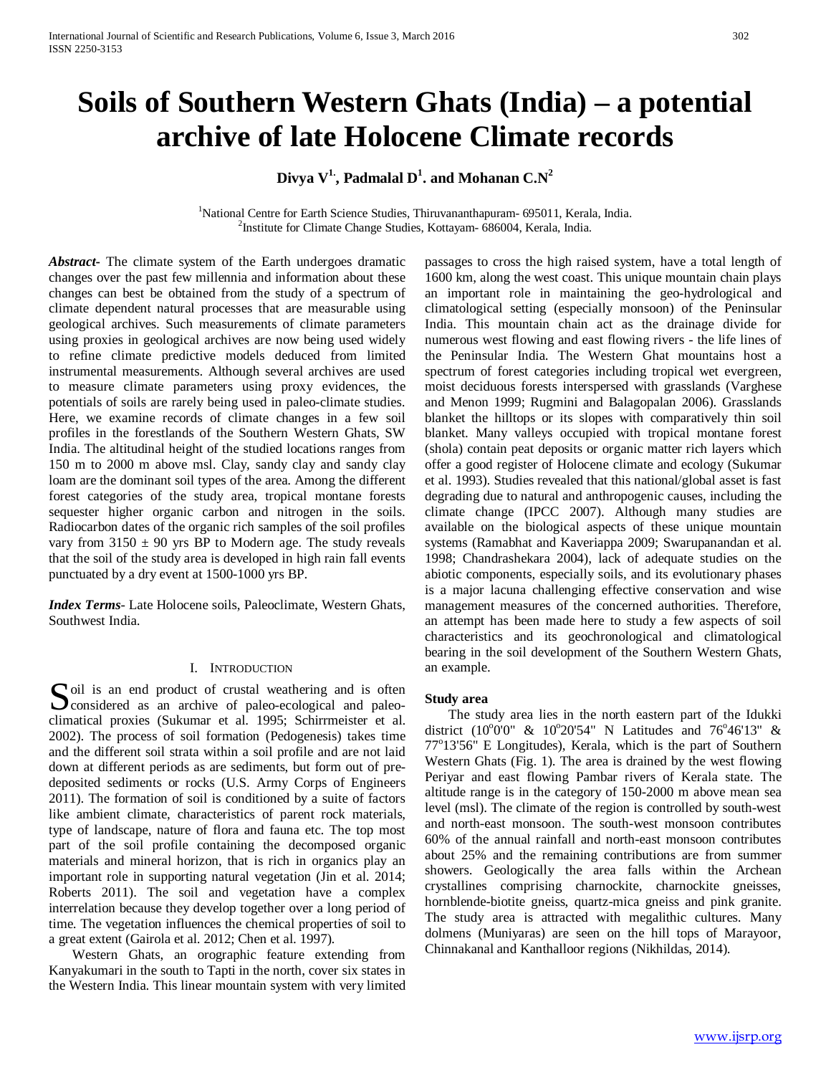# **Soils of Southern Western Ghats (India) – a potential archive of late Holocene Climate records**

 $\mathbf{Divya\ V^{1}\mathbf{,}}$  Padmalal  $\mathbf{D^{1}\mathbf{.}}$  and Mohanan  $\mathbf{C.N}^{2}$ 

<sup>1</sup>National Centre for Earth Science Studies, Thiruvananthapuram- 695011, Kerala, India. <sup>2</sup>Institute for Climate Change Studies, Kottayam- 686004, Kerala, India.

*Abstract***-** The climate system of the Earth undergoes dramatic changes over the past few millennia and information about these changes can best be obtained from the study of a spectrum of climate dependent natural processes that are measurable using geological archives. Such measurements of climate parameters using proxies in geological archives are now being used widely to refine climate predictive models deduced from limited instrumental measurements. Although several archives are used to measure climate parameters using proxy evidences, the potentials of soils are rarely being used in paleo-climate studies. Here, we examine records of climate changes in a few soil profiles in the forestlands of the Southern Western Ghats, SW India. The altitudinal height of the studied locations ranges from 150 m to 2000 m above msl. Clay, sandy clay and sandy clay loam are the dominant soil types of the area. Among the different forest categories of the study area, tropical montane forests sequester higher organic carbon and nitrogen in the soils. Radiocarbon dates of the organic rich samples of the soil profiles vary from  $3150 \pm 90$  yrs BP to Modern age. The study reveals that the soil of the study area is developed in high rain fall events punctuated by a dry event at 1500-1000 yrs BP.

*Index Terms*- Late Holocene soils, Paleoclimate, Western Ghats, Southwest India.

# I. INTRODUCTION

oil is an end product of crustal weathering and is often Soil is an end product of crustal weathering and is often<br>
considered as an archive of paleo-ecological and paleoclimatical proxies (Sukumar et al. 1995; Schirrmeister et al. 2002). The process of soil formation (Pedogenesis) takes time and the different soil strata within a soil profile and are not laid down at different periods as are sediments, but form out of predeposited sediments or rocks (U.S. Army Corps of Engineers 2011). The formation of soil is conditioned by a suite of factors like ambient climate, characteristics of parent rock materials, type of landscape, nature of flora and fauna etc. The top most part of the soil profile containing the decomposed organic materials and mineral horizon, that is rich in organics play an important role in supporting natural vegetation (Jin et al. 2014; Roberts 2011). The soil and vegetation have a complex interrelation because they develop together over a long period of time. The vegetation influences the chemical properties of soil to a great extent (Gairola et al. 2012; Chen et al. 1997).

 Western Ghats, an orographic feature extending from Kanyakumari in the south to Tapti in the north, cover six states in the Western India. This linear mountain system with very limited passages to cross the high raised system, have a total length of 1600 km, along the west coast. This unique mountain chain plays an important role in maintaining the geo-hydrological and climatological setting (especially monsoon) of the Peninsular India. This mountain chain act as the drainage divide for numerous west flowing and east flowing rivers - the life lines of the Peninsular India. The Western Ghat mountains host a spectrum of forest categories including tropical wet evergreen, moist deciduous forests interspersed with grasslands (Varghese and Menon 1999; Rugmini and Balagopalan 2006). Grasslands blanket the hilltops or its slopes with comparatively thin soil blanket. Many valleys occupied with tropical montane forest (shola) contain peat deposits or organic matter rich layers which offer a good register of Holocene climate and ecology (Sukumar et al. 1993). Studies revealed that this national/global asset is fast degrading due to natural and anthropogenic causes, including the climate change (IPCC 2007). Although many studies are available on the biological aspects of these unique mountain systems (Ramabhat and Kaveriappa 2009; Swarupanandan et al. 1998; Chandrashekara 2004), lack of adequate studies on the abiotic components, especially soils, and its evolutionary phases is a major lacuna challenging effective conservation and wise management measures of the concerned authorities. Therefore, an attempt has been made here to study a few aspects of soil characteristics and its geochronological and climatological bearing in the soil development of the Southern Western Ghats, an example.

#### **Study area**

 The study area lies in the north eastern part of the Idukki district (10°0'0" & 10°20'54" N Latitudes and 76°46'13" & 77°13'56" E Longitudes), Kerala, which is the part of Southern Western Ghats (Fig. 1). The area is drained by the west flowing Periyar and east flowing Pambar rivers of Kerala state. The altitude range is in the category of 150-2000 m above mean sea level (msl). The climate of the region is controlled by south-west and north-east monsoon. The south-west monsoon contributes 60% of the annual rainfall and north-east monsoon contributes about 25% and the remaining contributions are from summer showers. Geologically the area falls within the Archean crystallines comprising charnockite, charnockite gneisses, hornblende-biotite gneiss, quartz-mica gneiss and pink granite. The study area is attracted with megalithic cultures. Many dolmens (Muniyaras) are seen on the hill tops of Marayoor, Chinnakanal and Kanthalloor regions (Nikhildas, 2014).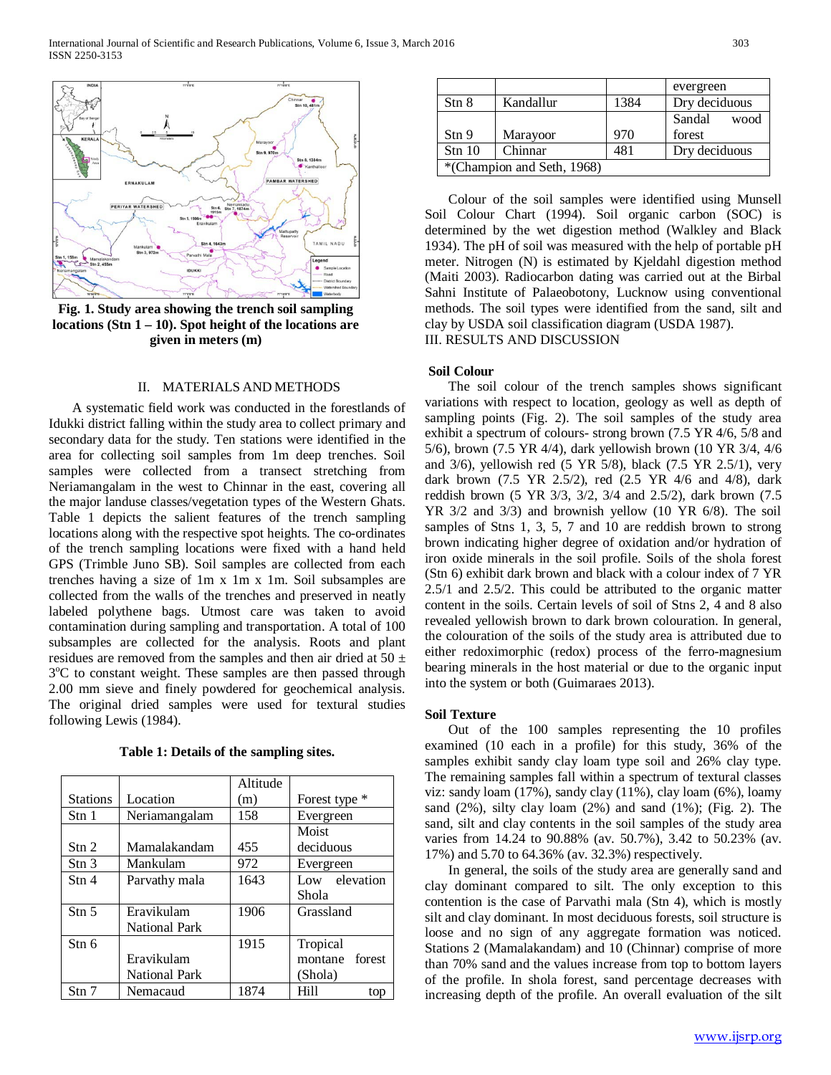

**Fig. 1. Study area showing the trench soil sampling locations (Stn 1 – 10). Spot height of the locations are given in meters (m)**

### II. MATERIALS AND METHODS

 A systematic field work was conducted in the forestlands of Idukki district falling within the study area to collect primary and secondary data for the study. Ten stations were identified in the area for collecting soil samples from 1m deep trenches. Soil samples were collected from a transect stretching from Neriamangalam in the west to Chinnar in the east, covering all the major landuse classes/vegetation types of the Western Ghats. Table 1 depicts the salient features of the trench sampling locations along with the respective spot heights. The co-ordinates of the trench sampling locations were fixed with a hand held GPS (Trimble Juno SB). Soil samples are collected from each trenches having a size of 1m x 1m x 1m. Soil subsamples are collected from the walls of the trenches and preserved in neatly labeled polythene bags. Utmost care was taken to avoid contamination during sampling and transportation. A total of 100 subsamples are collected for the analysis. Roots and plant residues are removed from the samples and then air dried at  $50 \pm$ 3°C to constant weight. These samples are then passed through 2.00 mm sieve and finely powdered for geochemical analysis. The original dried samples were used for textural studies following Lewis (1984).

**Table 1: Details of the sampling sites.**

|                        |                      | Altitude |                   |
|------------------------|----------------------|----------|-------------------|
| <b>Stations</b>        | Location             | (m)      | Forest type *     |
| Stn 1                  | Neriamangalam        | 158      | Evergreen         |
|                        |                      |          | Moist             |
| $\mathrm{Stn}$ 2       | Mamalakandam         | 455      | deciduous         |
| $\mathrm{Stn}$ 3       | Mankulam             | 972      | Evergreen         |
| $\operatorname{Stn} 4$ | Parvathy mala        | 1643     | Low elevation     |
|                        |                      |          | Shola             |
| $\mathrm{Stn} 5$       | Eravikulam           | 1906     | Grassland         |
|                        | <b>National Park</b> |          |                   |
| Stn 6                  |                      | 1915     | Tropical          |
|                        | Eravikulam           |          | forest<br>montane |
|                        | <b>National Park</b> |          | (Shola)           |
| Stn 7                  | Nemacaud             | 1874     | Hill<br>top       |

|                            |           |      | evergreen      |  |  |
|----------------------------|-----------|------|----------------|--|--|
| Stn 8                      | Kandallur | 1384 | Dry deciduous  |  |  |
|                            |           |      | Sandal<br>wood |  |  |
| Stn 9                      | Marayoor  | 970  | forest         |  |  |
| Stn 10                     | Chinnar   | 481  | Dry deciduous  |  |  |
| *(Champion and Seth, 1968) |           |      |                |  |  |

 Colour of the soil samples were identified using Munsell Soil Colour Chart (1994). Soil organic carbon (SOC) is determined by the wet digestion method (Walkley and Black 1934). The pH of soil was measured with the help of portable pH meter. Nitrogen (N) is estimated by Kjeldahl digestion method (Maiti 2003). Radiocarbon dating was carried out at the Birbal Sahni Institute of Palaeobotony, Lucknow using conventional methods. The soil types were identified from the sand, silt and clay by USDA soil classification diagram (USDA 1987). III. RESULTS AND DISCUSSION

#### **Soil Colour**

 The soil colour of the trench samples shows significant variations with respect to location, geology as well as depth of sampling points (Fig. 2). The soil samples of the study area exhibit a spectrum of colours- strong brown (7.5 YR 4/6, 5/8 and 5/6), brown (7.5 YR 4/4), dark yellowish brown (10 YR 3/4, 4/6 and 3/6), yellowish red (5 YR 5/8), black (7.5 YR 2.5/1), very dark brown (7.5 YR 2.5/2), red (2.5 YR 4/6 and 4/8), dark reddish brown (5 YR 3/3, 3/2, 3/4 and 2.5/2), dark brown (7.5 YR 3/2 and 3/3) and brownish yellow (10 YR 6/8). The soil samples of Stns 1, 3, 5, 7 and 10 are reddish brown to strong brown indicating higher degree of oxidation and/or hydration of iron oxide minerals in the soil profile. Soils of the shola forest (Stn 6) exhibit dark brown and black with a colour index of 7 YR 2.5/1 and 2.5/2. This could be attributed to the organic matter content in the soils. Certain levels of soil of Stns 2, 4 and 8 also revealed yellowish brown to dark brown colouration. In general, the colouration of the soils of the study area is attributed due to either redoximorphic (redox) process of the ferro-magnesium bearing minerals in the host material or due to the organic input into the system or both (Guimaraes 2013).

#### **Soil Texture**

 Out of the 100 samples representing the 10 profiles examined (10 each in a profile) for this study, 36% of the samples exhibit sandy clay loam type soil and 26% clay type. The remaining samples fall within a spectrum of textural classes viz: sandy loam (17%), sandy clay (11%), clay loam (6%), loamy sand  $(2\%)$ , silty clay loam  $(2\%)$  and sand  $(1\%)$ ; (Fig. 2). The sand, silt and clay contents in the soil samples of the study area varies from 14.24 to 90.88% (av. 50.7%), 3.42 to 50.23% (av. 17%) and 5.70 to 64.36% (av. 32.3%) respectively.

 In general, the soils of the study area are generally sand and clay dominant compared to silt. The only exception to this contention is the case of Parvathi mala (Stn 4), which is mostly silt and clay dominant. In most deciduous forests, soil structure is loose and no sign of any aggregate formation was noticed. Stations 2 (Mamalakandam) and 10 (Chinnar) comprise of more than 70% sand and the values increase from top to bottom layers of the profile. In shola forest, sand percentage decreases with increasing depth of the profile. An overall evaluation of the silt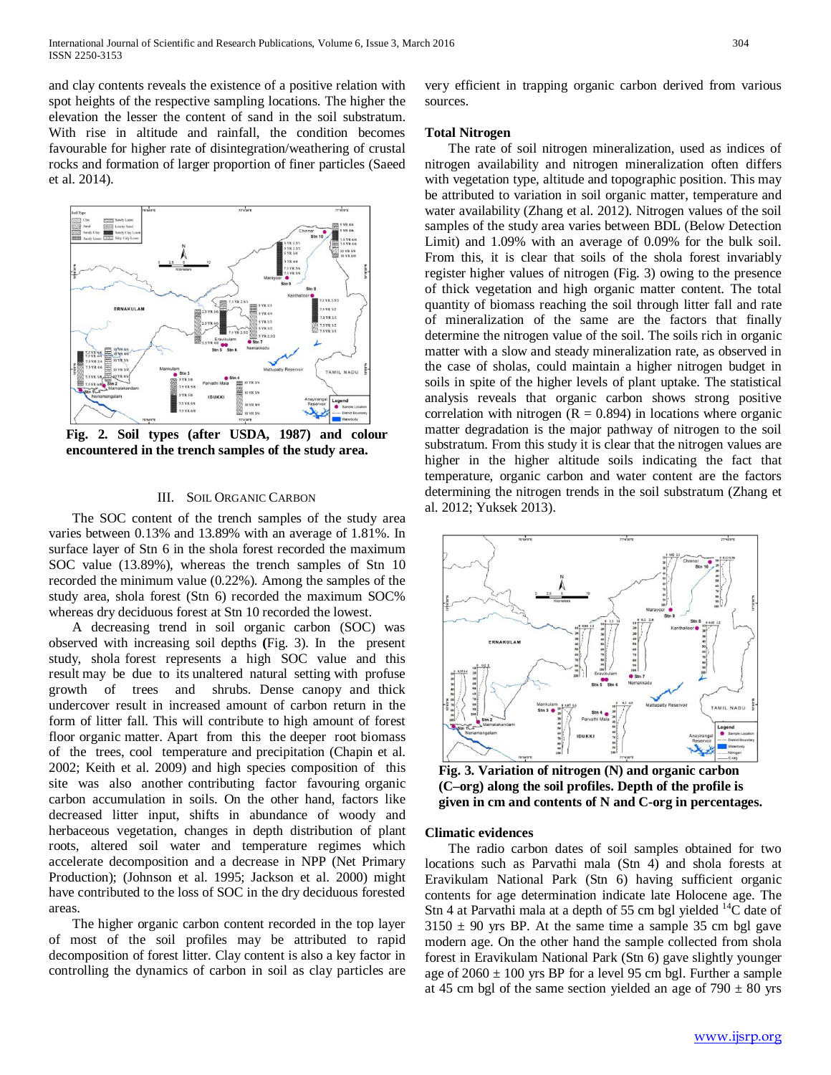and clay contents reveals the existence of a positive relation with spot heights of the respective sampling locations. The higher the elevation the lesser the content of sand in the soil substratum. With rise in altitude and rainfall, the condition becomes favourable for higher rate of disintegration/weathering of crustal rocks and formation of larger proportion of finer particles (Saeed et al. 2014).



**Fig. 2. Soil types (after USDA, 1987) and colour encountered in the trench samples of the study area.**

## III. SOIL ORGANIC CARBON

 The SOC content of the trench samples of the study area varies between 0.13% and 13.89% with an average of 1.81%. In surface layer of Stn 6 in the shola forest recorded the maximum SOC value (13.89%), whereas the trench samples of Stn 10 recorded the minimum value (0.22%). Among the samples of the study area, shola forest (Stn 6) recorded the maximum SOC% whereas dry deciduous forest at Stn 10 recorded the lowest.

 A decreasing trend in soil organic carbon (SOC) was observed with increasing soil depths **(**Fig. 3). In the present study, shola forest represents a high SOC value and this result may be due to its unaltered natural setting with profuse growth of trees and shrubs. Dense canopy and thick undercover result in increased amount of carbon return in the form of litter fall. This will contribute to high amount of forest floor organic matter. Apart from this the deeper root biomass of the trees, cool temperature and precipitation (Chapin et al. 2002; Keith et al. 2009) and high species composition of this site was also another contributing factor favouring organic carbon accumulation in soils. On the other hand, factors like decreased litter input, shifts in abundance of woody and herbaceous vegetation, changes in depth distribution of plant roots, altered soil water and temperature regimes which accelerate decomposition and a decrease in NPP (Net Primary Production); (Johnson et al. 1995; Jackson et al. 2000) might have contributed to the loss of SOC in the dry deciduous forested areas.

 The higher organic carbon content recorded in the top layer of most of the soil profiles may be attributed to rapid decomposition of forest litter. Clay content is also a key factor in controlling the dynamics of carbon in soil as clay particles are

very efficient in trapping organic carbon derived from various sources.

### **Total Nitrogen**

 The rate of soil nitrogen mineralization, used as indices of nitrogen availability and nitrogen mineralization often differs with vegetation type, altitude and topographic position. This may be attributed to variation in soil organic matter, temperature and water availability (Zhang et al. 2012). Nitrogen values of the soil samples of the study area varies between BDL (Below Detection Limit) and 1.09% with an average of 0.09% for the bulk soil. From this, it is clear that soils of the shola forest invariably register higher values of nitrogen (Fig. 3) owing to the presence of thick vegetation and high organic matter content. The total quantity of biomass reaching the soil through litter fall and rate of mineralization of the same are the factors that finally determine the nitrogen value of the soil. The soils rich in organic matter with a slow and steady mineralization rate, as observed in the case of sholas, could maintain a higher nitrogen budget in soils in spite of the higher levels of plant uptake. The statistical analysis reveals that organic carbon shows strong positive correlation with nitrogen  $(R = 0.894)$  in locations where organic matter degradation is the major pathway of nitrogen to the soil substratum. From this study it is clear that the nitrogen values are higher in the higher altitude soils indicating the fact that temperature, organic carbon and water content are the factors determining the nitrogen trends in the soil substratum (Zhang et al. 2012; Yuksek 2013).



**Fig. 3. Variation of nitrogen (N) and organic carbon (C–org) along the soil profiles. Depth of the profile is given in cm and contents of N and C-org in percentages.**

#### **Climatic evidences**

 The radio carbon dates of soil samples obtained for two locations such as Parvathi mala (Stn 4) and shola forests at Eravikulam National Park (Stn 6) having sufficient organic contents for age determination indicate late Holocene age. The Stn 4 at Parvathi mala at a depth of 55 cm bgl yielded  $^{14}C$  date of  $3150 \pm 90$  yrs BP. At the same time a sample 35 cm bgl gave modern age. On the other hand the sample collected from shola forest in Eravikulam National Park (Stn 6) gave slightly younger age of  $2060 \pm 100$  yrs BP for a level 95 cm bgl. Further a sample at 45 cm bgl of the same section yielded an age of  $790 \pm 80$  yrs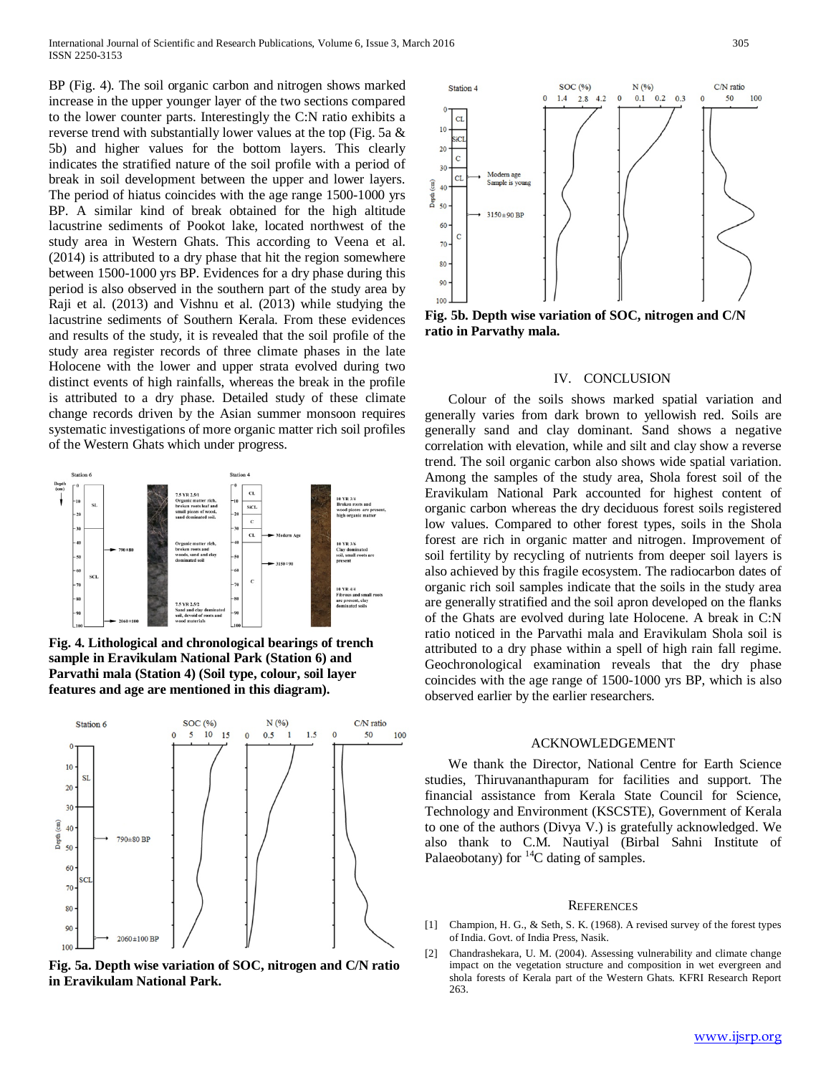BP (Fig. 4). The soil organic carbon and nitrogen shows marked increase in the upper younger layer of the two sections compared to the lower counter parts. Interestingly the C:N ratio exhibits a reverse trend with substantially lower values at the top (Fig. 5a & 5b) and higher values for the bottom layers. This clearly indicates the stratified nature of the soil profile with a period of break in soil development between the upper and lower layers. The period of hiatus coincides with the age range 1500-1000 yrs BP. A similar kind of break obtained for the high altitude lacustrine sediments of Pookot lake, located northwest of the study area in Western Ghats. This according to Veena et al. (2014) is attributed to a dry phase that hit the region somewhere between 1500-1000 yrs BP. Evidences for a dry phase during this period is also observed in the southern part of the study area by Raji et al. (2013) and Vishnu et al. (2013) while studying the lacustrine sediments of Southern Kerala. From these evidences and results of the study, it is revealed that the soil profile of the study area register records of three climate phases in the late Holocene with the lower and upper strata evolved during two distinct events of high rainfalls, whereas the break in the profile is attributed to a dry phase. Detailed study of these climate change records driven by the Asian summer monsoon requires systematic investigations of more organic matter rich soil profiles of the Western Ghats which under progress.



**Fig. 4. Lithological and chronological bearings of trench sample in Eravikulam National Park (Station 6) and Parvathi mala (Station 4) (Soil type, colour, soil layer features and age are mentioned in this diagram).** 



**Fig. 5a. Depth wise variation of SOC, nitrogen and C/N ratio in Eravikulam National Park.**



**Fig. 5b. Depth wise variation of SOC, nitrogen and C/N ratio in Parvathy mala.**

#### IV. CONCLUSION

 Colour of the soils shows marked spatial variation and generally varies from dark brown to yellowish red. Soils are generally sand and clay dominant. Sand shows a negative correlation with elevation, while and silt and clay show a reverse trend. The soil organic carbon also shows wide spatial variation. Among the samples of the study area, Shola forest soil of the Eravikulam National Park accounted for highest content of organic carbon whereas the dry deciduous forest soils registered low values. Compared to other forest types, soils in the Shola forest are rich in organic matter and nitrogen. Improvement of soil fertility by recycling of nutrients from deeper soil layers is also achieved by this fragile ecosystem. The radiocarbon dates of organic rich soil samples indicate that the soils in the study area are generally stratified and the soil apron developed on the flanks of the Ghats are evolved during late Holocene. A break in C:N ratio noticed in the Parvathi mala and Eravikulam Shola soil is attributed to a dry phase within a spell of high rain fall regime. Geochronological examination reveals that the dry phase coincides with the age range of 1500-1000 yrs BP, which is also observed earlier by the earlier researchers.

#### ACKNOWLEDGEMENT

 We thank the Director, National Centre for Earth Science studies, Thiruvananthapuram for facilities and support. The financial assistance from Kerala State Council for Science, Technology and Environment (KSCSTE), Government of Kerala to one of the authors (Divya V.) is gratefully acknowledged. We also thank to C.M. Nautiyal (Birbal Sahni Institute of Palaeobotany) for  ${}^{14}C$  dating of samples.

#### **REFERENCES**

- [1] Champion, H. G., & Seth, S. K. (1968). A revised survey of the forest types of India. Govt. of India Press, Nasik.
- [2] Chandrashekara, U. M. (2004). Assessing vulnerability and climate change impact on the vegetation structure and composition in wet evergreen and shola forests of Kerala part of the Western Ghats. KFRI Research Report 263.